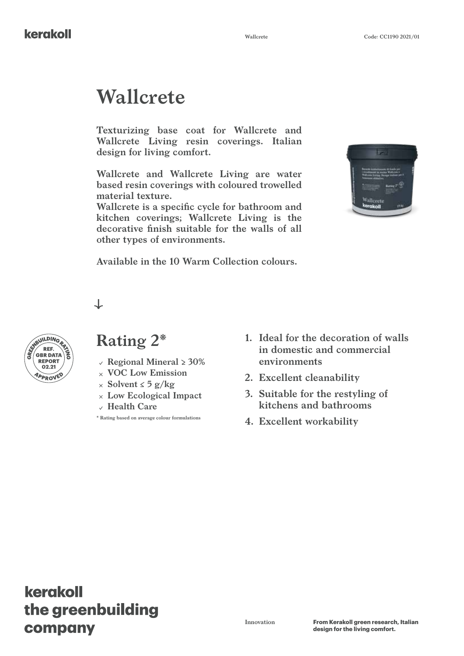# **Wallcrete**

**Texturizing base coat for Wallcrete and Wallcrete Living resin coverings. Italian design for living comfort.**

**Wallcrete and Wallcrete Living are water based resin coverings with coloured trowelled material texture.**

**Wallcrete is a specific cycle for bathroom and kitchen coverings; Wallcrete Living is the decorative finish suitable for the walls of all other types of environments.**



**Available in the 10 Warm Collection colours.**

 $\downarrow$ 



### **Rating 2\***

- 
- **VOC Low Emission**
- **Solvent ≤ 5 g/kg**
- **Low Ecological Impact**
- **Health Care**

**\* Rating based on average colour formulations**

- **1. Ideal for the decoration of walls in domestic and commercial environments**
- **2. Excellent cleanability**
- **3. Suitable for the restyling of kitchens and bathrooms**
- **4. Excellent workability**

### kerakoll the greenbuilding company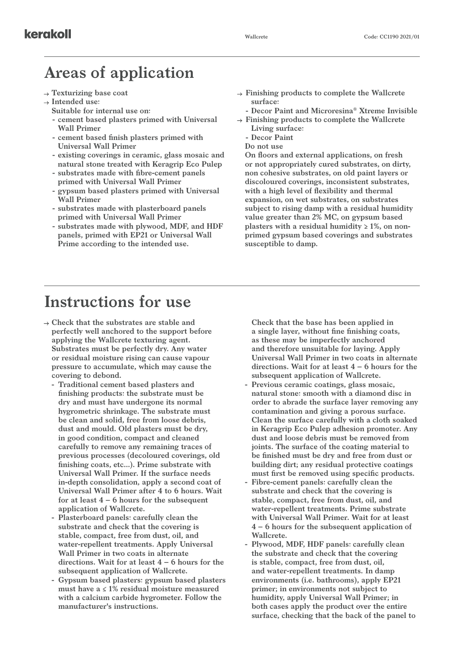### **Areas of application**

- **Texturizing base coat**
- **Intended use:**
	- **Suitable for internal use on:**
	- **- cement based plasters primed with Universal Wall Primer**
	- **- cement based finish plasters primed with Universal Wall Primer**
	- **- existing coverings in ceramic, glass mosaic and natural stone treated with Keragrip Eco Pulep**
	- **- substrates made with fibre-cement panels primed with Universal Wall Primer**
	- **- gypsum based plasters primed with Universal Wall Primer**
	- **- substrates made with plasterboard panels primed with Universal Wall Primer**
	- **- substrates made with plywood, MDF, and HDF panels, primed with EP21 or Universal Wall Prime according to the intended use.**
- **Finishing products to complete the Wallcrete surface:**
- **- Decor Paint and Microresina® Xtreme Invisible Finishing products to complete the Wallcrete**
- **Living surface: - Decor Paint**
- **Do not use**

**On floors and external applications, on fresh or not appropriately cured substrates, on dirty, non cohesive substrates, on old paint layers or discoloured coverings, inconsistent substrates, with a high level of flexibility and thermal expansion, on wet substrates, on substrates subject to rising damp with a residual humidity value greater than 2% MC, on gypsum based plasters with a residual humidity ≥ 1%, on nonprimed gypsum based coverings and substrates susceptible to damp.**

### **Instructions for use**

- **Check that the substrates are stable and perfectly well anchored to the support before applying the Wallcrete texturing agent. Substrates must be perfectly dry. Any water or residual moisture rising can cause vapour pressure to accumulate, which may cause the covering to debond.**
	- **- Traditional cement based plasters and finishing products: the substrate must be dry and must have undergone its normal hygrometric shrinkage. The substrate must be clean and solid, free from loose debris, dust and mould. Old plasters must be dry, in good condition, compact and cleaned carefully to remove any remaining traces of previous processes (decoloured coverings, old finishing coats, etc...). Prime substrate with Universal Wall Primer. If the surface needs in-depth consolidation, apply a second coat of Universal Wall Primer after 4 to 6 hours. Wait for at least 4 – 6 hours for the subsequent application of Wallcrete.**
	- **- Plasterboard panels: carefully clean the substrate and check that the covering is stable, compact, free from dust, oil, and water-repellent treatments. Apply Universal Wall Primer in two coats in alternate directions. Wait for at least 4 – 6 hours for the subsequent application of Wallcrete.**
	- **- Gypsum based plasters: gypsum based plasters must have a ≤ 1% residual moisture measured with a calcium carbide hygrometer. Follow the manufacturer's instructions.**

**Check that the base has been applied in a single layer, without fine finishing coats, as these may be imperfectly anchored and therefore unsuitable for laying. Apply Universal Wall Primer in two coats in alternate directions. Wait for at least 4 – 6 hours for the subsequent application of Wallcrete.**

- **- Previous ceramic coatings, glass mosaic, natural stone: smooth with a diamond disc in order to abrade the surface layer removing any contamination and giving a porous surface. Clean the surface carefully with a cloth soaked in Keragrip Eco Pulep adhesion promoter. Any dust and loose debris must be removed from joints. The surface of the coating material to be finished must be dry and free from dust or building dirt; any residual protective coatings must first be removed using specific products.**
- **- Fibre-cement panels: carefully clean the substrate and check that the covering is stable, compact, free from dust, oil, and water-repellent treatments. Prime substrate with Universal Wall Primer. Wait for at least 4 – 6 hours for the subsequent application of Wallcrete.**
- **- Plywood, MDF, HDF panels: carefully clean the substrate and check that the covering is stable, compact, free from dust, oil, and water-repellent treatments. In damp environments (i.e. bathrooms), apply EP21 primer; in environments not subject to humidity, apply Universal Wall Primer; in both cases apply the product over the entire surface, checking that the back of the panel to**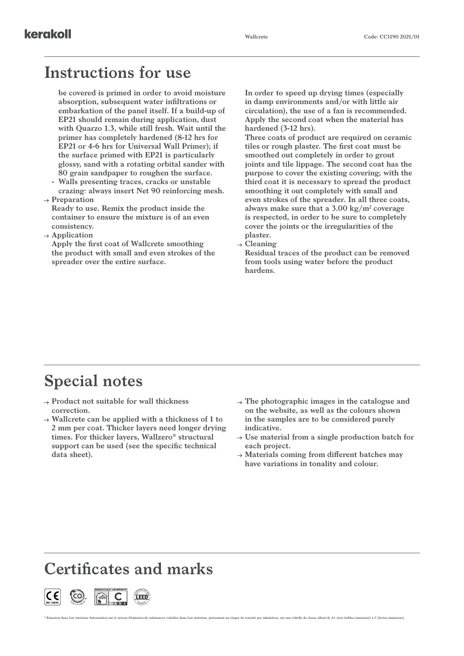### **Instructions for use**

**be covered is primed in order to avoid moisture absorption, subsequent water infiltrations or embarkation of the panel itself. If a build-up of EP21 should remain during application, dust with Quarzo 1.3, while still fresh. Wait until the primer has completely hardened (8-12 hrs for EP21 or 4-6 hrs for Universal Wall Primer); if the surface primed with EP21 is particularly glossy, sand with a rotating orbital sander with 80 grain sandpaper to roughen the surface.**

- **- Walls presenting traces, cracks or unstable crazing: always insert Net 90 reinforcing mesh.**
- **Preparation**

**Ready to use. Remix the product inside the container to ensure the mixture is of an even consistency.**

**Application**

**Apply the first coat of Wallcrete smoothing the product with small and even strokes of the spreader over the entire surface.** 

**In order to speed up drying times (especially in damp environments and/or with little air circulation), the use of a fan is recommended. Apply the second coat when the material has hardened (3-12 hrs).**

**Three coats of product are required on ceramic tiles or rough plaster. The first coat must be smoothed out completely in order to grout joints and tile lippage. The second coat has the purpose to cover the existing covering; with the third coat it is necessary to spread the product smoothing it out completely with small and even strokes of the spreader. In all three coats, always make sure that a 3.00 kg/m2 coverage is respected, in order to be sure to completely cover the joints or the irregularities of the plaster.**

**Cleaning**

**Residual traces of the product can be removed from tools using water before the product hardens.**

### **Special notes**

- **Product not suitable for wall thickness correction.**
- **Wallcrete can be applied with a thickness of 1 to 2 mm per coat. Thicker layers need longer drying times. For thicker layers, Wallzero® structural support can be used (see the specific technical data sheet).**
- **The photographic images in the catalogue and on the website, as well as the colours shown in the samples are to be considered purely indicative.**
- **Use material from a single production batch for each project.**
- **Materials coming from different batches may have variations in tonality and colour.**

### **Certificates and marks**

\* Émission dans l'air intérieur Information sur le niveau d'émission de substances volatiles dans l'air intérieur, présentant un risque de toxicité par inhalation, sur une échelle de classe allant de A+ (très faibles émiss

Co<sup>nt</sup>ributes <sup>P</sup> O <sup>I</sup> <sup>N</sup> T **EN 15824** Seconds of  $\mathbb{E}[\mathbf{H} \mathbf{L} \mathbf{S}]$  and  $\mathbb{E}[\mathbf{H} \mathbf{S}]$  of  $\mathbb{E}[\mathbf{S}]$